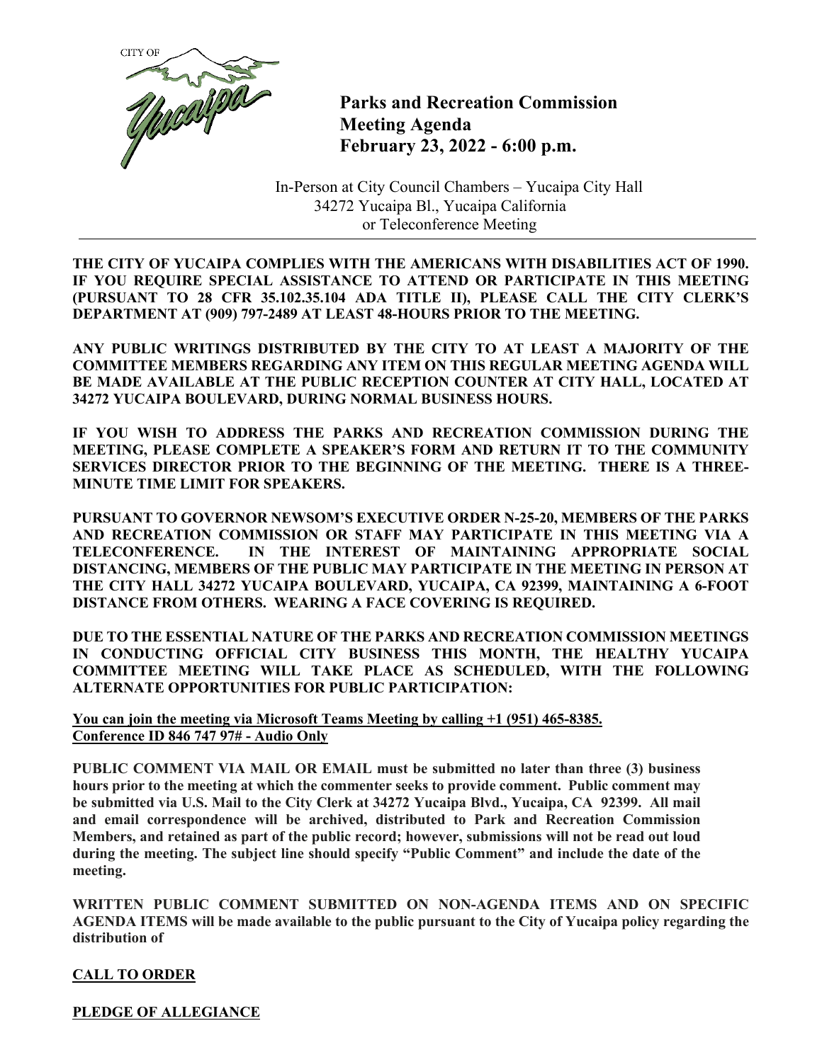

**Parks and Recreation Commission Meeting Agenda February 23, 2022 - 6:00 p.m.**

In-Person at City Council Chambers – Yucaipa City Hall 34272 Yucaipa Bl., Yucaipa California or Teleconference Meeting

**THE CITY OF YUCAIPA COMPLIES WITH THE AMERICANS WITH DISABILITIES ACT OF 1990. IF YOU REQUIRE SPECIAL ASSISTANCE TO ATTEND OR PARTICIPATE IN THIS MEETING (PURSUANT TO 28 CFR 35.102.35.104 ADA TITLE II), PLEASE CALL THE CITY CLERK'S DEPARTMENT AT (909) 797-2489 AT LEAST 48-HOURS PRIOR TO THE MEETING.**

**ANY PUBLIC WRITINGS DISTRIBUTED BY THE CITY TO AT LEAST A MAJORITY OF THE COMMITTEE MEMBERS REGARDING ANY ITEM ON THIS REGULAR MEETING AGENDA WILL BE MADE AVAILABLE AT THE PUBLIC RECEPTION COUNTER AT CITY HALL, LOCATED AT 34272 YUCAIPA BOULEVARD, DURING NORMAL BUSINESS HOURS.**

**IF YOU WISH TO ADDRESS THE PARKS AND RECREATION COMMISSION DURING THE MEETING, PLEASE COMPLETE A SPEAKER'S FORM AND RETURN IT TO THE COMMUNITY SERVICES DIRECTOR PRIOR TO THE BEGINNING OF THE MEETING. THERE IS A THREE-MINUTE TIME LIMIT FOR SPEAKERS.**

**PURSUANT TO GOVERNOR NEWSOM'S EXECUTIVE ORDER N-25-20, MEMBERS OF THE PARKS AND RECREATION COMMISSION OR STAFF MAY PARTICIPATE IN THIS MEETING VIA A TELECONFERENCE. IN THE INTEREST OF MAINTAINING APPROPRIATE SOCIAL DISTANCING, MEMBERS OF THE PUBLIC MAY PARTICIPATE IN THE MEETING IN PERSON AT THE CITY HALL 34272 YUCAIPA BOULEVARD, YUCAIPA, CA 92399, MAINTAINING A 6-FOOT DISTANCE FROM OTHERS. WEARING A FACE COVERING IS REQUIRED.**

**DUE TO THE ESSENTIAL NATURE OF THE PARKS AND RECREATION COMMISSION MEETINGS IN CONDUCTING OFFICIAL CITY BUSINESS THIS MONTH, THE HEALTHY YUCAIPA COMMITTEE MEETING WILL TAKE PLACE AS SCHEDULED, WITH THE FOLLOWING ALTERNATE OPPORTUNITIES FOR PUBLIC PARTICIPATION:** 

**You can join the meeting via Microsoft Teams Meeting by calling +1 (951) 465-8385. Conference ID 846 747 97# - Audio Only** 

**PUBLIC COMMENT VIA MAIL OR EMAIL must be submitted no later than three (3) business hours prior to the meeting at which the commenter seeks to provide comment. Public comment may be submitted via U.S. Mail to the City Clerk at 34272 Yucaipa Blvd., Yucaipa, CA 92399. All mail and email correspondence will be archived, distributed to Park and Recreation Commission Members, and retained as part of the public record; however, submissions will not be read out loud during the meeting. The subject line should specify "Public Comment" and include the date of the meeting.**

**WRITTEN PUBLIC COMMENT SUBMITTED ON NON-AGENDA ITEMS AND ON SPECIFIC AGENDA ITEMS will be made available to the public pursuant to the City of Yucaipa policy regarding the distribution of**

# **CALL TO ORDER**

**PLEDGE OF ALLEGIANCE**